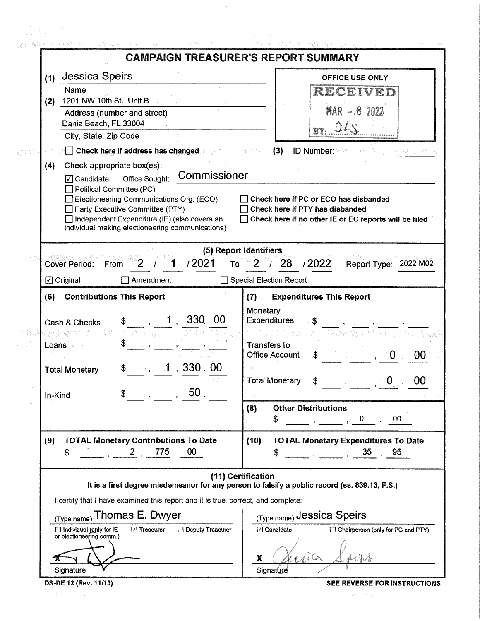|                                                                                                                     |                                                                                                                                                                                                                                                                                                                                                                                                                                                   | <b>CAMPAIGN TREASURER'S REPORT SUMMARY</b>                                                                                                 |  |  |  |  |  |  |  |  |
|---------------------------------------------------------------------------------------------------------------------|---------------------------------------------------------------------------------------------------------------------------------------------------------------------------------------------------------------------------------------------------------------------------------------------------------------------------------------------------------------------------------------------------------------------------------------------------|--------------------------------------------------------------------------------------------------------------------------------------------|--|--|--|--|--|--|--|--|
| (1)                                                                                                                 | <b>Jessica Speirs</b><br>Name                                                                                                                                                                                                                                                                                                                                                                                                                     | <b>OFFICE USE ONLY</b>                                                                                                                     |  |  |  |  |  |  |  |  |
| (2)                                                                                                                 | 1201 NW 10th St. Unit B<br>Address (number and street)<br>Dania Beach, FL 33004                                                                                                                                                                                                                                                                                                                                                                   | RECEIVED<br>$MAR - 8.2022$                                                                                                                 |  |  |  |  |  |  |  |  |
|                                                                                                                     | City, State, Zip Code                                                                                                                                                                                                                                                                                                                                                                                                                             |                                                                                                                                            |  |  |  |  |  |  |  |  |
| <b>8 Check here if address has changed</b><br>$(3)$ ID Number:                                                      |                                                                                                                                                                                                                                                                                                                                                                                                                                                   |                                                                                                                                            |  |  |  |  |  |  |  |  |
| (4)                                                                                                                 | Check appropriate box(es):<br>Commissioner<br>$\sqrt{7}$ Candidate<br>Office Sought:<br>$\Box$ Political Committee (PC)<br>Electioneering Communications Org. (ECO)<br>Check here if PC or ECO has disbanded<br>Party Executive Committee (PTY)<br>Check here if PTY has disbanded<br>□ Independent Expenditure (IE) (also covers an<br>Check here if no other IE or EC reports will be filed<br>individual making electioneering communications) |                                                                                                                                            |  |  |  |  |  |  |  |  |
|                                                                                                                     |                                                                                                                                                                                                                                                                                                                                                                                                                                                   | (5) Report Identifiers                                                                                                                     |  |  |  |  |  |  |  |  |
| /2021<br>/2022<br>28<br><b>Cover Period:</b><br>To<br>Report Type: 2022 M02<br>From                                 |                                                                                                                                                                                                                                                                                                                                                                                                                                                   |                                                                                                                                            |  |  |  |  |  |  |  |  |
|                                                                                                                     | Amendment<br>$\Box$ Original                                                                                                                                                                                                                                                                                                                                                                                                                      | Special Election Report                                                                                                                    |  |  |  |  |  |  |  |  |
| (6)                                                                                                                 | <b>Contributions This Report</b>                                                                                                                                                                                                                                                                                                                                                                                                                  | <b>Expenditures This Report</b><br>(7)                                                                                                     |  |  |  |  |  |  |  |  |
| Loans<br>In-Kind                                                                                                    | <b>330</b><br>-00<br>Cash & Checks<br>\$<br>.330.00<br>\$<br><b>Total Monetary</b><br>$-50$ .<br>\$                                                                                                                                                                                                                                                                                                                                               | Monetary<br>Expenditures<br><b>Transfers to</b><br><b>Office Account</b><br>\$<br>00<br>00<br><b>Total Monetary</b>                        |  |  |  |  |  |  |  |  |
|                                                                                                                     |                                                                                                                                                                                                                                                                                                                                                                                                                                                   | <b>Other Distributions</b><br>(8)<br>00<br>$\mathbf{0}$<br>\$                                                                              |  |  |  |  |  |  |  |  |
| (9)                                                                                                                 | <b>TOTAL Monetary Contributions To Date</b><br>775.<br>00<br>$\mathbf{2}$<br>\$                                                                                                                                                                                                                                                                                                                                                                   | <b>TOTAL Monetary Expenditures To Date</b><br>(10)<br>35<br>95<br>S<br>$\frac{1}{2}$ and $\frac{1}{2}$ and $\frac{1}{2}$ and $\frac{1}{2}$ |  |  |  |  |  |  |  |  |
| (11) Certification<br>It is a first degree misdemeanor for any person to falsify a public record (ss. 839.13, F.S.) |                                                                                                                                                                                                                                                                                                                                                                                                                                                   |                                                                                                                                            |  |  |  |  |  |  |  |  |
|                                                                                                                     | I certify that I have examined this report and it is true, correct, and complete:                                                                                                                                                                                                                                                                                                                                                                 |                                                                                                                                            |  |  |  |  |  |  |  |  |
|                                                                                                                     | Thomas E. Dwyer<br>(Type name)                                                                                                                                                                                                                                                                                                                                                                                                                    | (Type name) Jessica Speirs                                                                                                                 |  |  |  |  |  |  |  |  |
|                                                                                                                     | Individual (only for IE<br>⊡ Treasurer<br>Oeputy Treasurer<br>or electioneefing comm.)                                                                                                                                                                                                                                                                                                                                                            | ⊡ Candidate<br>Chairperson (only for PC and PTY)                                                                                           |  |  |  |  |  |  |  |  |
|                                                                                                                     |                                                                                                                                                                                                                                                                                                                                                                                                                                                   | X                                                                                                                                          |  |  |  |  |  |  |  |  |
|                                                                                                                     | Signature                                                                                                                                                                                                                                                                                                                                                                                                                                         | Signature                                                                                                                                  |  |  |  |  |  |  |  |  |
|                                                                                                                     | DS-DE 12 (Rev. 11/13)                                                                                                                                                                                                                                                                                                                                                                                                                             | SEE REVERSE FOR INSTRUCTIONS                                                                                                               |  |  |  |  |  |  |  |  |

 $\label{eq:2.1} \mathcal{L}(\mathcal{A})=\mathcal{L}(\mathcal{A})\left(\mathcal{A}(\mathcal{A})\right) \quad \text{and} \quad \mathcal{L}(\mathcal{A})=\mathcal{L}(\mathcal{A})$ 

 $\sim$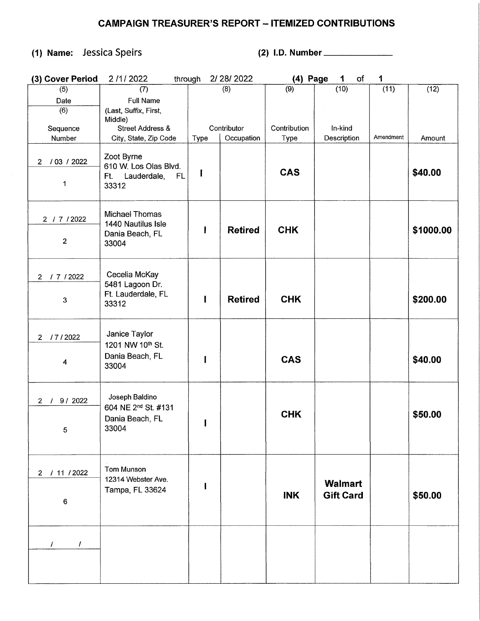## **CAMPAIGN TREASURER'S REPORT - ITEMIZED CONTRIBUTIONS**

## **(1) Name:** Jessica Speirs **(2) 1.0.** Number \_\_\_\_\_ \_

| (3) Cover Period              | 2/1/2022<br>through                   |              | 2/28/2022      | (4) Page     | 1<br>of          | 1         |           |
|-------------------------------|---------------------------------------|--------------|----------------|--------------|------------------|-----------|-----------|
| (5)                           | (7)                                   |              | (8)            | (9)          | (10)             | (11)      | (12)      |
| Date                          | <b>Full Name</b>                      |              |                |              |                  |           |           |
| (6)                           | (Last, Suffix, First,                 |              |                |              |                  |           |           |
|                               | Middle)                               |              |                |              |                  |           |           |
| Sequence                      | <b>Street Address &amp;</b>           |              | Contributor    | Contribution | In-kind          |           |           |
| Number                        | City, State, Zip Code                 | Type         | Occupation     | Type         | Description      | Amendment | Amount    |
|                               |                                       |              |                |              |                  |           |           |
| / 03 / 2022<br>$\overline{2}$ | Zoot Byrne<br>610 W. Los Olas Blvd.   |              |                |              |                  |           |           |
|                               | Lauderdale,<br>FL.<br>Ft.             | I            |                | <b>CAS</b>   |                  |           | \$40.00   |
| 1                             | 33312                                 |              |                |              |                  |           |           |
|                               |                                       |              |                |              |                  |           |           |
|                               |                                       |              |                |              |                  |           |           |
| 2 / 7 / 2022                  | <b>Michael Thomas</b>                 |              |                |              |                  |           |           |
|                               | 1440 Nautilus Isle                    | I            | <b>Retired</b> | <b>CHK</b>   |                  |           |           |
|                               | Dania Beach, FL                       |              |                |              |                  |           | \$1000.00 |
| $\mathbf{2}$                  | 33004                                 |              |                |              |                  |           |           |
|                               |                                       |              |                |              |                  |           |           |
|                               |                                       |              |                |              |                  |           |           |
| / 7 / 2022<br>$2^{\circ}$     | Cecelia McKay                         |              |                |              |                  |           |           |
|                               | 5481 Lagoon Dr.<br>Ft. Lauderdale, FL |              |                |              |                  |           |           |
| 3                             | 33312                                 | $\mathbf{I}$ | <b>Retired</b> | <b>CHK</b>   |                  |           | \$200.00  |
|                               |                                       |              |                |              |                  |           |           |
|                               |                                       |              |                |              |                  |           |           |
| /7/2022<br>$\overline{2}$     | Janice Taylor                         |              |                |              |                  |           |           |
|                               | 1201 NW 10th St.                      |              |                |              |                  |           |           |
|                               | Dania Beach, FL                       | ı            |                | <b>CAS</b>   |                  |           | \$40.00   |
| 4                             | 33004                                 |              |                |              |                  |           |           |
|                               |                                       |              |                |              |                  |           |           |
|                               |                                       |              |                |              |                  |           |           |
| 9/2022<br>2 /                 | Joseph Baldino                        |              |                |              |                  |           |           |
|                               | 604 NE 2nd St. #131                   |              |                | <b>CHK</b>   |                  |           | \$50.00   |
|                               | Dania Beach, FL                       |              |                |              |                  |           |           |
| 5                             | 33004                                 |              |                |              |                  |           |           |
|                               |                                       |              |                |              |                  |           |           |
|                               |                                       |              |                |              |                  |           |           |
|                               | <b>Tom Munson</b>                     |              |                |              |                  |           |           |
| 2 / 11 / 2022                 | 12314 Webster Ave.                    |              |                |              |                  |           |           |
|                               | Tampa, FL 33624                       |              |                |              | <b>Walmart</b>   |           |           |
| 6                             |                                       |              |                | <b>INK</b>   | <b>Gift Card</b> |           | \$50.00   |
|                               |                                       |              |                |              |                  |           |           |
|                               |                                       |              |                |              |                  |           |           |
|                               |                                       |              |                |              |                  |           |           |
| $\prime$<br>T                 |                                       |              |                |              |                  |           |           |
|                               |                                       |              |                |              |                  |           |           |
|                               |                                       |              |                |              |                  |           |           |
|                               |                                       |              |                |              |                  |           |           |